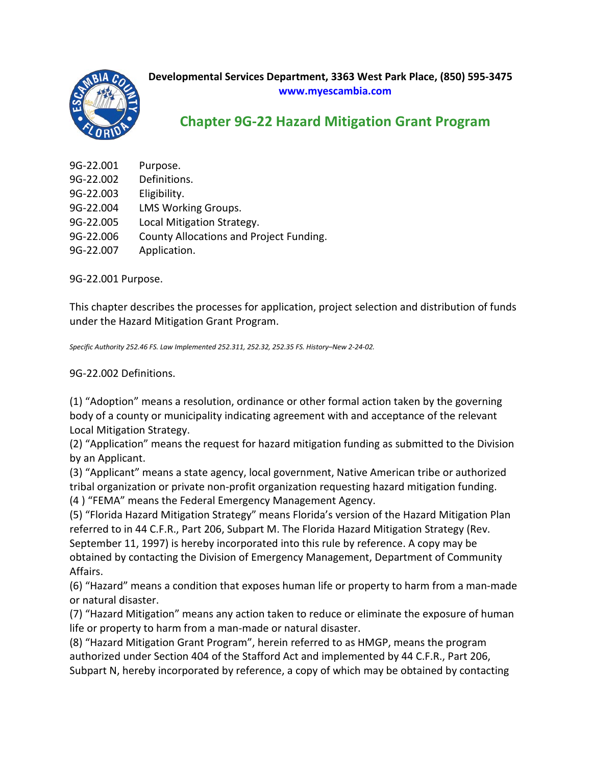

## **Developmental Services Department, 3363 West Park Place, (850) 595-3475 www.myescambia.com**

## **Chapter 9G-22 Hazard Mitigation Grant Program**

| 9G-22.001 | Purpose.                                |
|-----------|-----------------------------------------|
|           |                                         |
| 9G-22.002 | Definitions.                            |
| 9G-22.003 | Eligibility.                            |
| 9G-22.004 | LMS Working Groups.                     |
| 9G-22.005 | Local Mitigation Strategy.              |
| 9G-22.006 | County Allocations and Project Funding. |
| 9G-22.007 | Application.                            |

9G-22.001 Purpose.

This chapter describes the processes for application, project selection and distribution of funds under the Hazard Mitigation Grant Program.

*Specific Authority 252.46 FS. Law Implemented 252.311, 252.32, 252.35 FS. History–New 2-24-02.*

9G-22.002 Definitions.

(1) "Adoption" means a resolution, ordinance or other formal action taken by the governing body of a county or municipality indicating agreement with and acceptance of the relevant Local Mitigation Strategy.

(2) "Application" means the request for hazard mitigation funding as submitted to the Division by an Applicant.

(3) "Applicant" means a state agency, local government, Native American tribe or authorized tribal organization or private non-profit organization requesting hazard mitigation funding. (4 ) "FEMA" means the Federal Emergency Management Agency.

(5) "Florida Hazard Mitigation Strategy" means Florida's version of the Hazard Mitigation Plan referred to in 44 C.F.R., Part 206, Subpart M. The Florida Hazard Mitigation Strategy (Rev. September 11, 1997) is hereby incorporated into this rule by reference. A copy may be obtained by contacting the Division of Emergency Management, Department of Community Affairs.

(6) "Hazard" means a condition that exposes human life or property to harm from a man-made or natural disaster.

(7) "Hazard Mitigation" means any action taken to reduce or eliminate the exposure of human life or property to harm from a man-made or natural disaster.

(8) "Hazard Mitigation Grant Program", herein referred to as HMGP, means the program authorized under Section 404 of the Stafford Act and implemented by 44 C.F.R., Part 206, Subpart N, hereby incorporated by reference, a copy of which may be obtained by contacting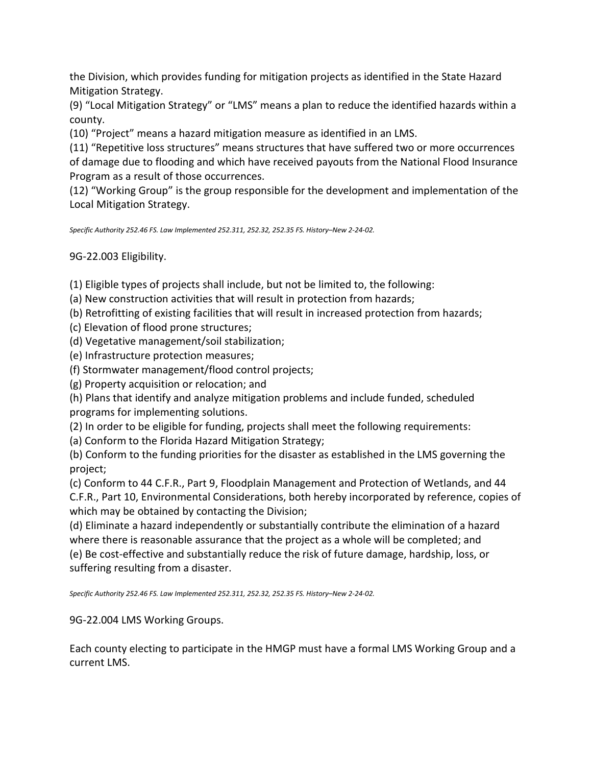the Division, which provides funding for mitigation projects as identified in the State Hazard Mitigation Strategy.

(9) "Local Mitigation Strategy" or "LMS" means a plan to reduce the identified hazards within a county.

(10) "Project" means a hazard mitigation measure as identified in an LMS.

(11) "Repetitive loss structures" means structures that have suffered two or more occurrences of damage due to flooding and which have received payouts from the National Flood Insurance Program as a result of those occurrences.

(12) "Working Group" is the group responsible for the development and implementation of the Local Mitigation Strategy.

*Specific Authority 252.46 FS. Law Implemented 252.311, 252.32, 252.35 FS. History–New 2-24-02.*

9G-22.003 Eligibility.

(1) Eligible types of projects shall include, but not be limited to, the following:

(a) New construction activities that will result in protection from hazards;

(b) Retrofitting of existing facilities that will result in increased protection from hazards;

(c) Elevation of flood prone structures;

(d) Vegetative management/soil stabilization;

(e) Infrastructure protection measures;

(f) Stormwater management/flood control projects;

(g) Property acquisition or relocation; and

(h) Plans that identify and analyze mitigation problems and include funded, scheduled programs for implementing solutions.

(2) In order to be eligible for funding, projects shall meet the following requirements:

(a) Conform to the Florida Hazard Mitigation Strategy;

(b) Conform to the funding priorities for the disaster as established in the LMS governing the project;

(c) Conform to 44 C.F.R., Part 9, Floodplain Management and Protection of Wetlands, and 44 C.F.R., Part 10, Environmental Considerations, both hereby incorporated by reference, copies of which may be obtained by contacting the Division;

(d) Eliminate a hazard independently or substantially contribute the elimination of a hazard where there is reasonable assurance that the project as a whole will be completed; and (e) Be cost-effective and substantially reduce the risk of future damage, hardship, loss, or suffering resulting from a disaster.

*Specific Authority 252.46 FS. Law Implemented 252.311, 252.32, 252.35 FS. History–New 2-24-02.*

9G-22.004 LMS Working Groups.

Each county electing to participate in the HMGP must have a formal LMS Working Group and a current LMS.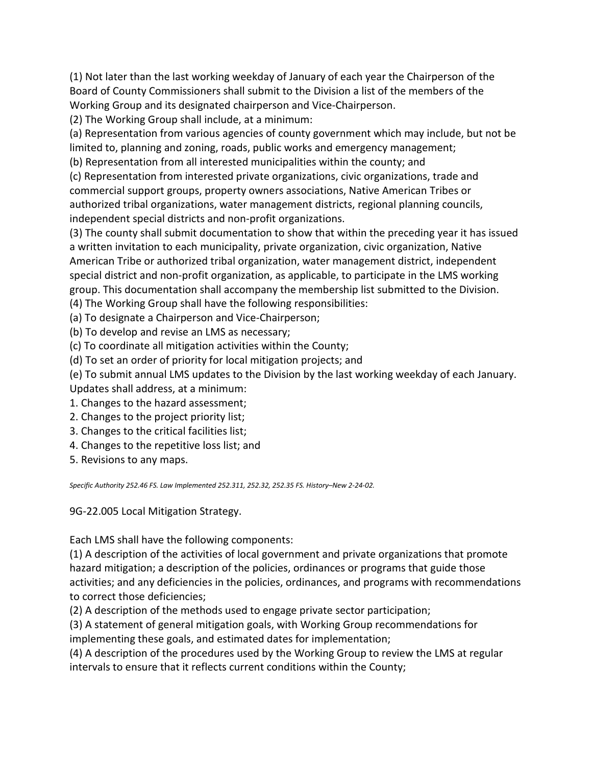(1) Not later than the last working weekday of January of each year the Chairperson of the Board of County Commissioners shall submit to the Division a list of the members of the Working Group and its designated chairperson and Vice-Chairperson.

(2) The Working Group shall include, at a minimum:

(a) Representation from various agencies of county government which may include, but not be limited to, planning and zoning, roads, public works and emergency management;

(b) Representation from all interested municipalities within the county; and

(c) Representation from interested private organizations, civic organizations, trade and commercial support groups, property owners associations, Native American Tribes or authorized tribal organizations, water management districts, regional planning councils, independent special districts and non-profit organizations.

(3) The county shall submit documentation to show that within the preceding year it has issued a written invitation to each municipality, private organization, civic organization, Native American Tribe or authorized tribal organization, water management district, independent special district and non-profit organization, as applicable, to participate in the LMS working group. This documentation shall accompany the membership list submitted to the Division.

(4) The Working Group shall have the following responsibilities:

(a) To designate a Chairperson and Vice-Chairperson;

- (b) To develop and revise an LMS as necessary;
- (c) To coordinate all mitigation activities within the County;

(d) To set an order of priority for local mitigation projects; and

(e) To submit annual LMS updates to the Division by the last working weekday of each January. Updates shall address, at a minimum:

- 1. Changes to the hazard assessment;
- 2. Changes to the project priority list;
- 3. Changes to the critical facilities list;
- 4. Changes to the repetitive loss list; and
- 5. Revisions to any maps.

*Specific Authority 252.46 FS. Law Implemented 252.311, 252.32, 252.35 FS. History–New 2-24-02.*

9G-22.005 Local Mitigation Strategy.

Each LMS shall have the following components:

(1) A description of the activities of local government and private organizations that promote hazard mitigation; a description of the policies, ordinances or programs that guide those activities; and any deficiencies in the policies, ordinances, and programs with recommendations to correct those deficiencies;

(2) A description of the methods used to engage private sector participation;

(3) A statement of general mitigation goals, with Working Group recommendations for implementing these goals, and estimated dates for implementation;

(4) A description of the procedures used by the Working Group to review the LMS at regular intervals to ensure that it reflects current conditions within the County;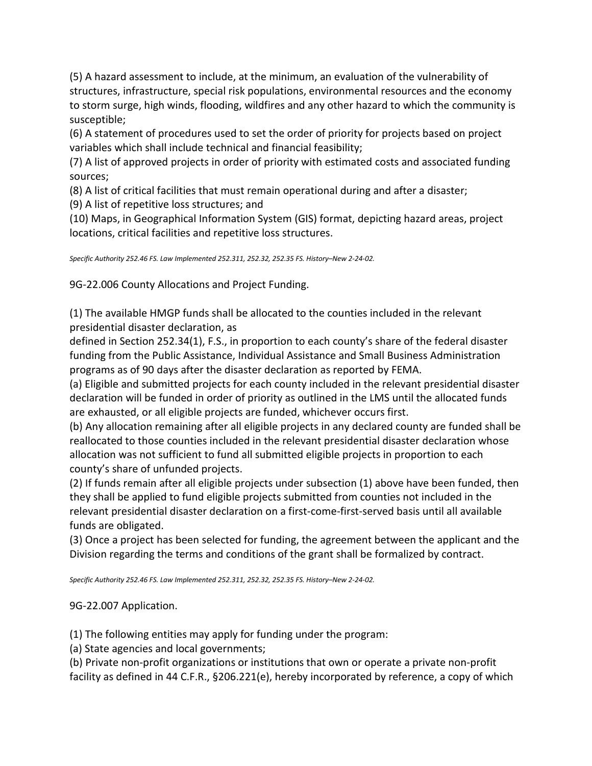(5) A hazard assessment to include, at the minimum, an evaluation of the vulnerability of structures, infrastructure, special risk populations, environmental resources and the economy to storm surge, high winds, flooding, wildfires and any other hazard to which the community is susceptible;

(6) A statement of procedures used to set the order of priority for projects based on project variables which shall include technical and financial feasibility;

(7) A list of approved projects in order of priority with estimated costs and associated funding sources;

(8) A list of critical facilities that must remain operational during and after a disaster;

(9) A list of repetitive loss structures; and

(10) Maps, in Geographical Information System (GIS) format, depicting hazard areas, project locations, critical facilities and repetitive loss structures.

*Specific Authority 252.46 FS. Law Implemented 252.311, 252.32, 252.35 FS. History–New 2-24-02.*

9G-22.006 County Allocations and Project Funding.

(1) The available HMGP funds shall be allocated to the counties included in the relevant presidential disaster declaration, as

defined in Section 252.34(1), F.S., in proportion to each county's share of the federal disaster funding from the Public Assistance, Individual Assistance and Small Business Administration programs as of 90 days after the disaster declaration as reported by FEMA.

(a) Eligible and submitted projects for each county included in the relevant presidential disaster declaration will be funded in order of priority as outlined in the LMS until the allocated funds are exhausted, or all eligible projects are funded, whichever occurs first.

(b) Any allocation remaining after all eligible projects in any declared county are funded shall be reallocated to those counties included in the relevant presidential disaster declaration whose allocation was not sufficient to fund all submitted eligible projects in proportion to each county's share of unfunded projects.

(2) If funds remain after all eligible projects under subsection (1) above have been funded, then they shall be applied to fund eligible projects submitted from counties not included in the relevant presidential disaster declaration on a first-come-first-served basis until all available funds are obligated.

(3) Once a project has been selected for funding, the agreement between the applicant and the Division regarding the terms and conditions of the grant shall be formalized by contract.

*Specific Authority 252.46 FS. Law Implemented 252.311, 252.32, 252.35 FS. History–New 2-24-02.*

9G-22.007 Application.

(1) The following entities may apply for funding under the program:

(a) State agencies and local governments;

(b) Private non-profit organizations or institutions that own or operate a private non-profit facility as defined in 44 C.F.R., §206.221(e), hereby incorporated by reference, a copy of which